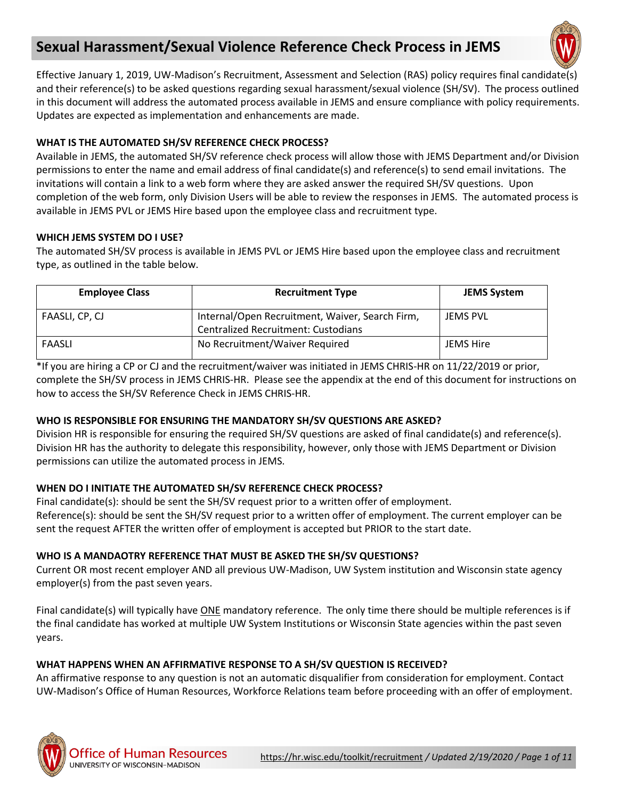# **Sexual Harassment/Sexual Violence Reference Check Process in JEMS**



Effective January 1, 2019, UW-Madison's Recruitment, Assessment and Selection (RAS) policy requires final candidate(s) and their reference(s) to be asked questions regarding sexual harassment/sexual violence (SH/SV). The process outlined in this document will address the automated process available in JEMS and ensure compliance with policy requirements. Updates are expected as implementation and enhancements are made.

# **WHAT IS THE AUTOMATED SH/SV REFERENCE CHECK PROCESS?**

Available in JEMS, the automated SH/SV reference check process will allow those with JEMS Department and/or Division permissions to enter the name and email address of final candidate(s) and reference(s) to send email invitations. The invitations will contain a link to a web form where they are asked answer the required SH/SV questions. Upon completion of the web form, only Division Users will be able to review the responses in JEMS. The automated process is available in JEMS PVL or JEMS Hire based upon the employee class and recruitment type.

## **WHICH JEMS SYSTEM DO I USE?**

The automated SH/SV process is available in JEMS PVL or JEMS Hire based upon the employee class and recruitment type, as outlined in the table below.

| <b>Employee Class</b> | <b>Recruitment Type</b>                                                                       | <b>JEMS System</b> |
|-----------------------|-----------------------------------------------------------------------------------------------|--------------------|
| FAASLI, CP, CJ        | Internal/Open Recruitment, Waiver, Search Firm,<br><b>Centralized Recruitment: Custodians</b> | JEMS PVL           |
| FAASLI                | No Recruitment/Waiver Required                                                                | <b>JEMS Hire</b>   |

\*If you are hiring a CP or CJ and the recruitment/waiver was initiated in JEMS CHRIS-HR on 11/22/2019 or prior, complete the SH/SV process in JEMS CHRIS-HR. Please see the appendix at the end of this document for instructions on how to access the SH/SV Reference Check in JEMS CHRIS-HR.

## **WHO IS RESPONSIBLE FOR ENSURING THE MANDATORY SH/SV QUESTIONS ARE ASKED?**

Division HR is responsible for ensuring the required SH/SV questions are asked of final candidate(s) and reference(s). Division HR has the authority to delegate this responsibility, however, only those with JEMS Department or Division permissions can utilize the automated process in JEMS.

## **WHEN DO I INITIATE THE AUTOMATED SH/SV REFERENCE CHECK PROCESS?**

Final candidate(s): should be sent the SH/SV request prior to a written offer of employment. Reference(s): should be sent the SH/SV request prior to a written offer of employment. The current employer can be sent the request AFTER the written offer of employment is accepted but PRIOR to the start date.

## **WHO IS A MANDAOTRY REFERENCE THAT MUST BE ASKED THE SH/SV QUESTIONS?**

Current OR most recent employer AND all previous UW-Madison, UW System institution and Wisconsin state agency employer(s) from the past seven years.

Final candidate(s) will typically have ONE mandatory reference. The only time there should be multiple references is if the final candidate has worked at multiple UW System Institutions or Wisconsin State agencies within the past seven years.

## **WHAT HAPPENS WHEN AN AFFIRMATIVE RESPONSE TO A SH/SV QUESTION IS RECEIVED?**

An affirmative response to any question is not an automatic disqualifier from consideration for employment. Contact UW-Madison's Office of Human Resources, Workforce Relations team before proceeding with an offer of employment.

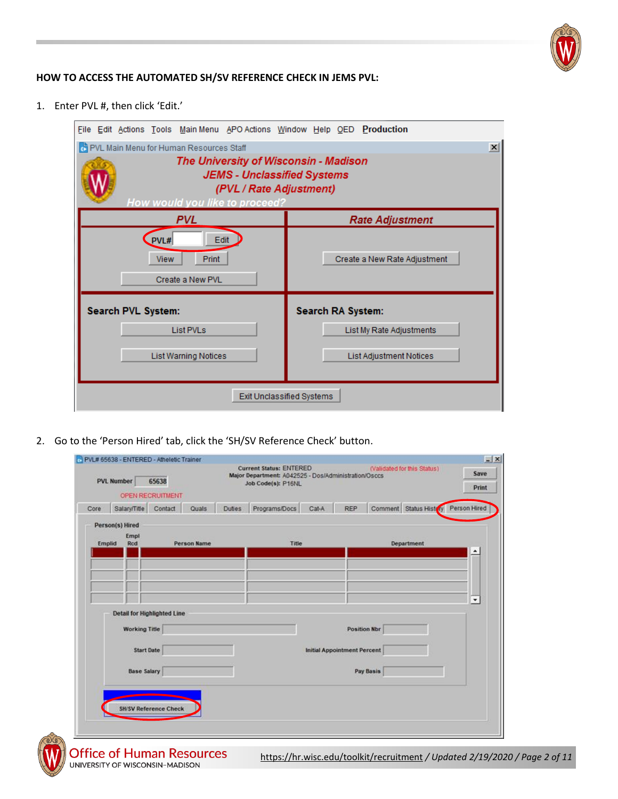

#### **HOW TO ACCESS THE AUTOMATED SH/SV REFERENCE CHECK IN JEMS PVL:**

1. Enter PVL #, then click 'Edit.'



2. Go to the 'Person Hired' tab, click the 'SH/SV Reference Check' button.

| <b>PVL Number</b><br>65638 |                                                     |                              |                    |               | Job Code(s): P16NL | <b>Current Status: ENTERED</b><br>(Validated for this Status)<br>Major Department: A042525 - Dos/Administration/Osccs |                                    |           |                                     | Save                     |
|----------------------------|-----------------------------------------------------|------------------------------|--------------------|---------------|--------------------|-----------------------------------------------------------------------------------------------------------------------|------------------------------------|-----------|-------------------------------------|--------------------------|
|                            |                                                     | <b>OPEN RECRUITMENT</b>      |                    |               |                    |                                                                                                                       |                                    |           |                                     | Print                    |
| Core                       | Salary/Title                                        | Contact                      | Quals              | <b>Duties</b> | Programs/Docs      | Cat-A                                                                                                                 | <b>REP</b>                         |           | Comment Status History Person Hired |                          |
| Emplid                     | Person(s) Hired<br>Empl<br>Rcd                      |                              | <b>Person Name</b> |               | Title              |                                                                                                                       |                                    |           | Department                          |                          |
|                            |                                                     |                              |                    |               |                    |                                                                                                                       |                                    |           |                                     | $\hat{\phantom{a}}$      |
|                            |                                                     |                              |                    |               |                    |                                                                                                                       |                                    |           |                                     |                          |
|                            |                                                     |                              |                    |               |                    |                                                                                                                       |                                    |           |                                     |                          |
|                            |                                                     |                              |                    |               |                    |                                                                                                                       |                                    |           |                                     | $\overline{\phantom{a}}$ |
|                            | Detail for Highlighted Line<br><b>Working Title</b> |                              |                    |               |                    |                                                                                                                       | <b>Position Nbr</b>                |           |                                     |                          |
|                            |                                                     |                              |                    |               |                    |                                                                                                                       |                                    |           |                                     |                          |
|                            | <b>Start Date</b>                                   |                              |                    |               |                    |                                                                                                                       | <b>Initial Appointment Percent</b> |           |                                     |                          |
|                            | <b>Base Salary</b>                                  |                              |                    |               |                    |                                                                                                                       |                                    | Pay Basis |                                     |                          |
|                            |                                                     |                              |                    |               |                    |                                                                                                                       |                                    |           |                                     |                          |
|                            |                                                     |                              |                    |               |                    |                                                                                                                       |                                    |           |                                     |                          |
|                            |                                                     | <b>SH/SV Reference Check</b> |                    |               |                    |                                                                                                                       |                                    |           |                                     |                          |

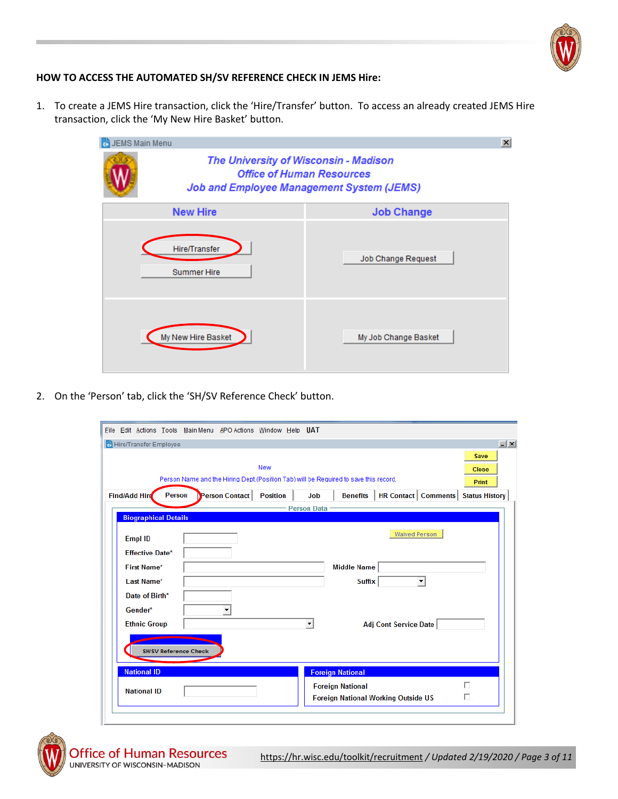

## **HOW TO ACCESS THE AUTOMATED SH/SV REFERENCE CHECK IN JEMS Hire:**

1. To create a JEMS Hire transaction, click the 'Hire/Transfer' button. To access an already created JEMS Hire transaction, click the 'My New Hire Basket' button.

| JEMS Main Menu                                                                                                                | $\vert x \vert$      |  |  |  |  |  |
|-------------------------------------------------------------------------------------------------------------------------------|----------------------|--|--|--|--|--|
| The University of Wisconsin - Madison<br><b>Office of Human Resources</b><br><b>Job and Employee Management System (JEMS)</b> |                      |  |  |  |  |  |
| <b>New Hire</b>                                                                                                               | <b>Job Change</b>    |  |  |  |  |  |
| Hire/Transfer<br><b>Summer Hire</b>                                                                                           | Job Change Request   |  |  |  |  |  |
| My New Hire Basket                                                                                                            | My Job Change Basket |  |  |  |  |  |

2. On the 'Person' tab, click the 'SH/SV Reference Check' button.

| File Edit Actions Tools Main Menu APO Actions Window Help UAT |        |  |                |                 |  |                    |                                                                                      |                              |                                |                                      |
|---------------------------------------------------------------|--------|--|----------------|-----------------|--|--------------------|--------------------------------------------------------------------------------------|------------------------------|--------------------------------|--------------------------------------|
| Hire/Transfer Employee                                        |        |  |                |                 |  |                    |                                                                                      |                              |                                | $- x $                               |
|                                                               |        |  |                | <b>New</b>      |  |                    | Person Name and the Hiring Dept (Position Tab) will be Required to save this record. |                              |                                | Save<br><b>Close</b><br><b>Print</b> |
| Find/Add Hire                                                 | Person |  | Person Contact | <b>Position</b> |  | Job                | <b>Benefits</b>                                                                      |                              | <b>HR Contact   Comments  </b> | <b>Status History</b>                |
|                                                               |        |  |                |                 |  | <b>Person Data</b> |                                                                                      |                              |                                |                                      |
| <b>Biographical Details</b>                                   |        |  |                |                 |  |                    |                                                                                      |                              |                                |                                      |
| <b>Empl ID</b>                                                |        |  |                |                 |  |                    |                                                                                      | <b>Waived Person</b>         |                                |                                      |
| <b>Effective Date*</b>                                        |        |  |                |                 |  |                    |                                                                                      |                              |                                |                                      |
| <b>First Name*</b>                                            |        |  |                |                 |  |                    | <b>Middle Name</b>                                                                   |                              |                                |                                      |
| Last Name*                                                    |        |  |                |                 |  |                    | <b>Suffix</b>                                                                        |                              | $\overline{\phantom{a}}$       |                                      |
| Date of Birth*                                                |        |  |                |                 |  |                    |                                                                                      |                              |                                |                                      |
| Gender*                                                       |        |  |                |                 |  |                    |                                                                                      |                              |                                |                                      |
| <b>Ethnic Group</b>                                           |        |  |                |                 |  |                    |                                                                                      | <b>Adj Cont Service Date</b> |                                |                                      |
| <b>SH/SV Reference Check</b>                                  |        |  |                |                 |  |                    |                                                                                      |                              |                                |                                      |
| <b>National ID</b>                                            |        |  |                |                 |  |                    | <b>Foreign National</b>                                                              |                              |                                |                                      |
| <b>National ID</b>                                            |        |  |                |                 |  |                    | <b>Foreign National</b><br><b>Foreign National Working Outside US</b>                |                              |                                | $\Box$<br>П                          |

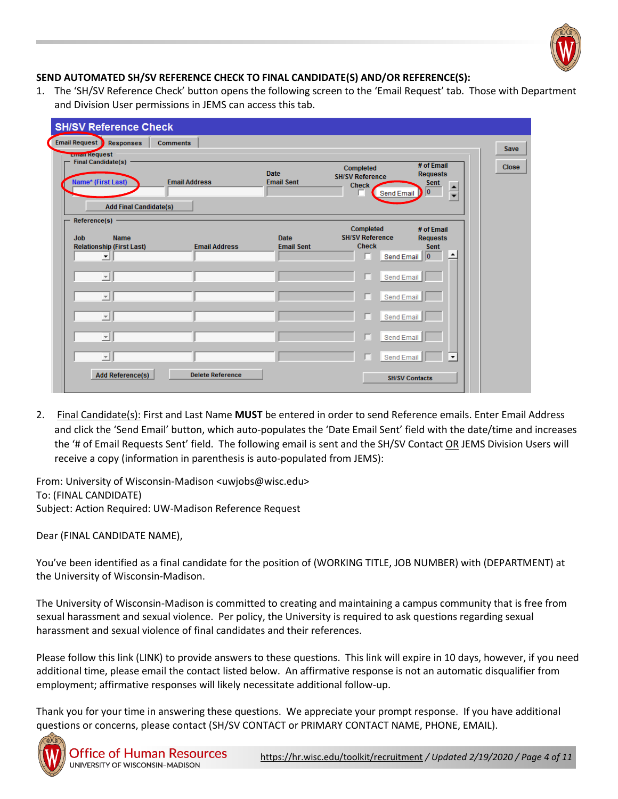

# **SEND AUTOMATED SH/SV REFERENCE CHECK TO FINAL CANDIDATE(S) AND/OR REFERENCE(S):**

1. The 'SH/SV Reference Check' button opens the following screen to the 'Email Request' tab. Those with Department and Division User permissions in JEMS can access this tab.

| <b>SH/SV Reference Check</b><br><b>Email Request Responses</b><br><b>Comments</b><br><b>Email Request</b><br><b>Final Candidate(s)</b><br>Name* (First Last)<br><b>Add Final Candidate(s)</b> | <b>Email Address</b>    | <b>Date</b><br><b>Email Sent</b> | Completed<br><b>SH/SV Reference</b><br><b>Check</b><br>Send Email | # of Email<br><b>Requests</b><br><b>Sent</b><br>$\frac{1}{\sqrt{2}}$<br>10 | <b>Save</b><br><b>Close</b> |
|-----------------------------------------------------------------------------------------------------------------------------------------------------------------------------------------------|-------------------------|----------------------------------|-------------------------------------------------------------------|----------------------------------------------------------------------------|-----------------------------|
| Reference(s) $-$<br><b>Job</b><br><b>Name</b><br><b>Relationship (First Last)</b><br>$\blacktriangledown$                                                                                     | <b>Email Address</b>    | <b>Date</b><br><b>Email Sent</b> | <b>Completed</b><br><b>SH/SV Reference</b><br><b>Check</b>        | # of Email<br><b>Requests</b><br><b>Sent</b><br>Send Email 0<br>≛          |                             |
| $\overline{ }$<br>$\overline{\mathbf{v}}$                                                                                                                                                     |                         |                                  | ┍                                                                 | Send Email<br>Send Email                                                   |                             |
| $\overline{\mathbf{v}}$<br>$\overline{\phantom{a}}$                                                                                                                                           |                         |                                  | г                                                                 | Send Email<br>Send Email                                                   |                             |
| $\overline{\phantom{a}}$<br><b>Add Reference(s)</b>                                                                                                                                           | <b>Delete Reference</b> |                                  | Send Email                                                        | $\blacktriangledown$<br><b>SH/SV Contacts</b>                              |                             |

2. Final Candidate(s): First and Last Name **MUST** be entered in order to send Reference emails. Enter Email Address and click the 'Send Email' button, which auto-populates the 'Date Email Sent' field with the date/time and increases the '# of Email Requests Sent' field. The following email is sent and the SH/SV Contact OR JEMS Division Users will receive a copy (information in parenthesis is auto-populated from JEMS):

From: University of Wisconsin-Madison <uwjobs@wisc.edu> To: (FINAL CANDIDATE) Subject: Action Required: UW-Madison Reference Request

Dear (FINAL CANDIDATE NAME),

You've been identified as a final candidate for the position of (WORKING TITLE, JOB NUMBER) with (DEPARTMENT) at the University of Wisconsin-Madison.

The University of Wisconsin-Madison is committed to creating and maintaining a campus community that is free from sexual harassment and sexual violence. Per policy, the University is required to ask questions regarding sexual harassment and sexual violence of final candidates and their references.

Please follow this link (LINK) to provide answers to these questions. This link will expire in 10 days, however, if you need additional time, please email the contact listed below. An affirmative response is not an automatic disqualifier from employment; affirmative responses will likely necessitate additional follow-up.

Thank you for your time in answering these questions. We appreciate your prompt response. If you have additional questions or concerns, please contact (SH/SV CONTACT or PRIMARY CONTACT NAME, PHONE, EMAIL).

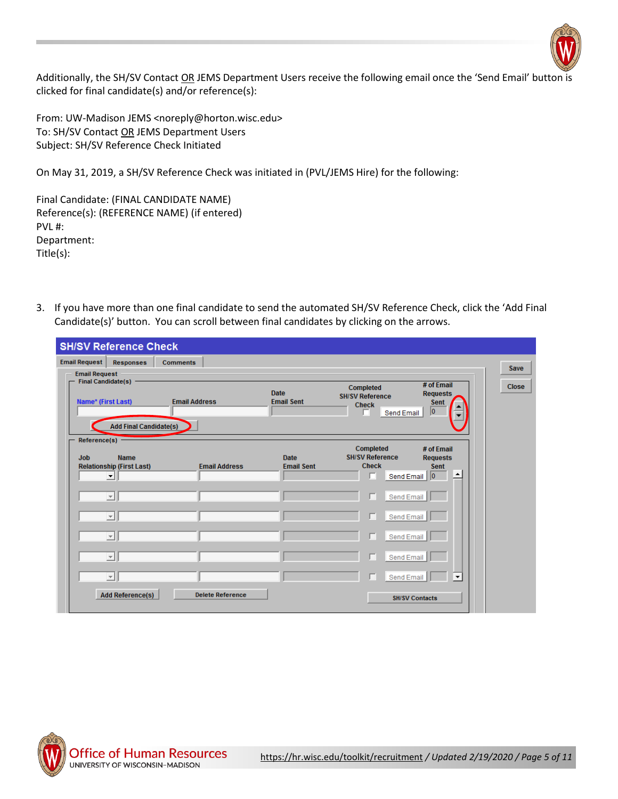

Additionally, the SH/SV Contact OR JEMS Department Users receive the following email once the 'Send Email' button is clicked for final candidate(s) and/or reference(s):

From: UW-Madison JEMS <noreply@horton.wisc.edu> To: SH/SV Contact OR JEMS Department Users Subject: SH/SV Reference Check Initiated

On May 31, 2019, a SH/SV Reference Check was initiated in (PVL/JEMS Hire) for the following:

Final Candidate: (FINAL CANDIDATE NAME) Reference(s): (REFERENCE NAME) (if entered) PVL #: Department: Title(s):

3. If you have more than one final candidate to send the automated SH/SV Reference Check, click the 'Add Final Candidate(s)' button. You can scroll between final candidates by clicking on the arrows.

|                                | <b>SH/SV Reference Check</b>                                                     |                      |                         |                                  |                                                                   |                                                                   |              |
|--------------------------------|----------------------------------------------------------------------------------|----------------------|-------------------------|----------------------------------|-------------------------------------------------------------------|-------------------------------------------------------------------|--------------|
| <b>Email Request</b>           | Responses                                                                        | <b>Comments</b>      |                         |                                  |                                                                   |                                                                   | Save         |
| <b>Email Request</b>           | <b>Final Candidate(s)</b><br>Name* (First Last)<br><b>Add Final Candidate(s)</b> | <b>Email Address</b> |                         | <b>Date</b><br><b>Email Sent</b> | Completed<br><b>SH/SV Reference</b><br><b>Check</b><br>Send Email | # of Email<br><b>Requests</b><br><b>Sent</b><br>o                 | <b>Close</b> |
| Reference(s) $-$<br><b>Job</b> | <b>Name</b><br><b>Relationship (First Last)</b><br>▾                             |                      | <b>Email Address</b>    | <b>Date</b><br><b>Email Sent</b> | Completed<br><b>SH/SV Reference</b><br><b>Check</b>               | # of Email<br><b>Requests</b><br><b>Sent</b><br>Send Email 0<br>∸ |              |
|                                | $\overline{\phantom{a}}$                                                         |                      |                         |                                  | г                                                                 | Send Email                                                        |              |
|                                | $\mathbf{v}$                                                                     |                      |                         |                                  | г                                                                 | Send Email                                                        |              |
|                                | $\vert \nabla \vert$                                                             |                      |                         |                                  | г                                                                 | Send Email                                                        |              |
|                                | $\overline{ }$                                                                   |                      |                         |                                  | г                                                                 | Send Email                                                        |              |
|                                | $\overline{\phantom{a}}$                                                         |                      |                         |                                  |                                                                   | Send Email<br>$\blacktriangledown$                                |              |
|                                | <b>Add Reference(s)</b>                                                          |                      | <b>Delete Reference</b> |                                  |                                                                   | <b>SH/SV Contacts</b>                                             |              |

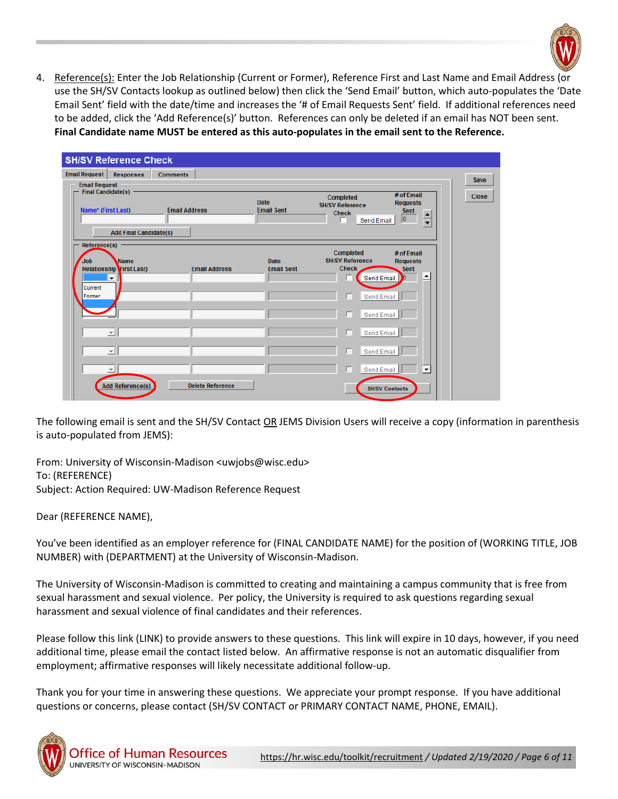

4. Reference(s): Enter the Job Relationship (Current or Former), Reference First and Last Name and Email Address (or use the SH/SV Contacts lookup as outlined below) then click the 'Send Email' button, which auto-populates the 'Date Email Sent' field with the date/time and increases the '# of Email Requests Sent' field. If additional references need to be added, click the 'Add Reference(s)' button. References can only be deleted if an email has NOT been sent. **Final Candidate name MUST be entered as this auto-populates in the email sent to the Reference.**

|                                                                    | <b>SH/SV Reference Check</b>                                               |                                         |                                  |                                                                                                             |                                                                           |                             |  |
|--------------------------------------------------------------------|----------------------------------------------------------------------------|-----------------------------------------|----------------------------------|-------------------------------------------------------------------------------------------------------------|---------------------------------------------------------------------------|-----------------------------|--|
| <b>Email Request</b><br><b>Email Request</b><br>Name* (First Last) | <b>Responses</b><br>Final Candidate(s) -<br><b>Add Final Candidate(s)</b>  | <b>Comments</b><br><b>Email Address</b> | Date<br><b>Email Sent</b>        | Completed<br><b>SH/SV Reference</b><br><b>Check</b><br>Send Email                                           | # of Email<br><b>Requests</b><br><b>Sent</b><br>$\frac{1}{\sqrt{2}}$<br>o | <b>Save</b><br><b>Close</b> |  |
| Reference(s)<br><b>Job</b><br>Current<br>Former                    | <b>Name</b><br><b>Relationship</b> First Last)<br>$\overline{\phantom{a}}$ | <b>Email Address</b>                    | <b>Date</b><br><b>Email Sent</b> | <b>Completed</b><br><b>SH/SV Reference</b><br><b>Check</b><br><b>Send Email</b><br>Send Email<br>Send Email | # of Email<br><b>Requests</b><br><b>Sent</b><br>∸<br>'n                   |                             |  |
|                                                                    | $\overline{\nabla}$<br>$\vert \nabla \vert$                                |                                         |                                  | Send Email<br>Send Email                                                                                    |                                                                           |                             |  |
|                                                                    | $\overline{\phantom{a}}$<br><b>Add Reference(s)</b>                        | <b>Delete Reference</b>                 |                                  | Send Email                                                                                                  | $\blacktriangledown$<br><b>SH/SV Contacts</b>                             |                             |  |

The following email is sent and the SH/SV Contact OR JEMS Division Users will receive a copy (information in parenthesis is auto-populated from JEMS):

From: University of Wisconsin-Madison <uwjobs@wisc.edu> To: (REFERENCE) Subject: Action Required: UW-Madison Reference Request

Dear (REFERENCE NAME),

You've been identified as an employer reference for (FINAL CANDIDATE NAME) for the position of (WORKING TITLE, JOB NUMBER) with (DEPARTMENT) at the University of Wisconsin-Madison.

The University of Wisconsin-Madison is committed to creating and maintaining a campus community that is free from sexual harassment and sexual violence. Per policy, the University is required to ask questions regarding sexual harassment and sexual violence of final candidates and their references.

Please follow this link (LINK) to provide answers to these questions. This link will expire in 10 days, however, if you need additional time, please email the contact listed below. An affirmative response is not an automatic disqualifier from employment; affirmative responses will likely necessitate additional follow-up.

Thank you for your time in answering these questions. We appreciate your prompt response. If you have additional questions or concerns, please contact (SH/SV CONTACT or PRIMARY CONTACT NAME, PHONE, EMAIL).

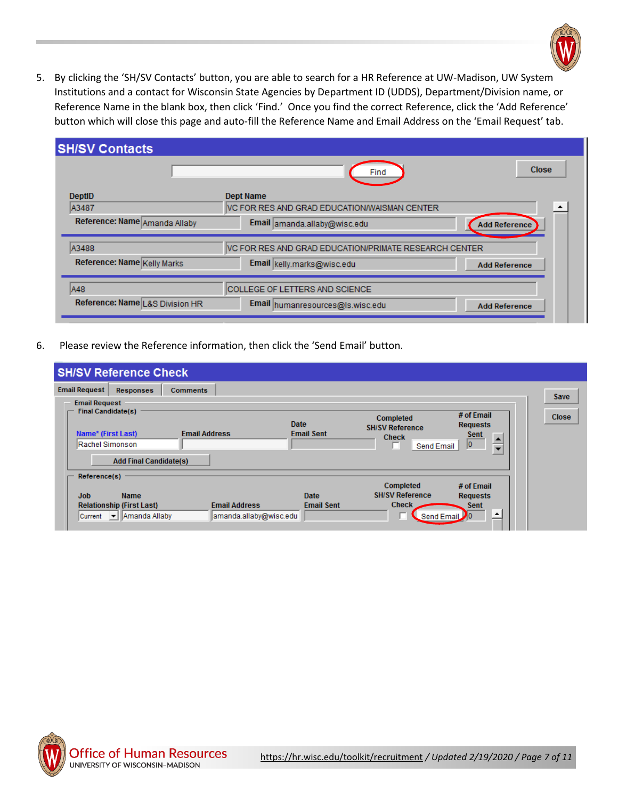

5. By clicking the 'SH/SV Contacts' button, you are able to search for a HR Reference at UW-Madison, UW System Institutions and a contact for Wisconsin State Agencies by Department ID (UDDS), Department/Division name, or Reference Name in the blank box, then click 'Find.' Once you find the correct Reference, click the 'Add Reference' button which will close this page and auto-fill the Reference Name and Email Address on the 'Email Request' tab.

| <b>SH/SV Contacts</b>           |                                                       |                      |
|---------------------------------|-------------------------------------------------------|----------------------|
|                                 | Find                                                  | <b>Close</b>         |
| <b>DeptiD</b>                   | <b>Dept Name</b>                                      |                      |
| A3487                           | VC FOR RES AND GRAD EDUCATION/WAISMAN CENTER          |                      |
| Reference: Name Amanda Allaby   | Email amanda.allaby@wisc.edu                          | <b>Add Reference</b> |
| A3488                           | VC FOR RES AND GRAD EDUCATION/PRIMATE RESEARCH CENTER |                      |
| Reference: Name Kelly Marks     | Email kelly.marks@wisc.edu                            | <b>Add Reference</b> |
| A48                             | COLLEGE OF LETTERS AND SCIENCE                        |                      |
| Reference: Name L&S Division HR | Email humanresources@ls.wisc.edu                      | <b>Add Reference</b> |

6. Please review the Reference information, then click the 'Send Email' button.

|                                                                           | <b>SH/SV Reference Check</b>                                  |                                                |                   |                                            |                                           |                      |
|---------------------------------------------------------------------------|---------------------------------------------------------------|------------------------------------------------|-------------------|--------------------------------------------|-------------------------------------------|----------------------|
| <b>Email Request</b><br><b>Email Request</b><br><b>Final Candidate(s)</b> | <b>Responses</b>                                              | <b>Comments</b>                                | <b>Date</b>       | <b>Completed</b><br><b>SH/SV Reference</b> | # of Email<br><b>Requests</b>             | Save<br><b>Close</b> |
| Name* (First Last)<br>Rachel Simonson                                     | <b>Add Final Candidate(s)</b>                                 | <b>Email Address</b>                           | <b>Email Sent</b> | <b>Check</b><br>Send Email                 | <b>Sent</b><br>$\frac{1}{\sqrt{2}}$<br>10 |                      |
| Reference(s)                                                              |                                                               |                                                |                   | <b>Completed</b>                           | # of Email                                |                      |
| <b>Job</b>                                                                | <b>Name</b>                                                   |                                                | <b>Date</b>       | <b>SH/SV Reference</b>                     | <b>Requests</b>                           |                      |
|                                                                           | <b>Relationship (First Last)</b><br>Current     Amanda Allaby | <b>Email Address</b><br>amanda.allaby@wisc.edu | <b>Email Sent</b> | <b>Check</b>                               | <b>Sent</b><br>스<br>Send Email 0          |                      |

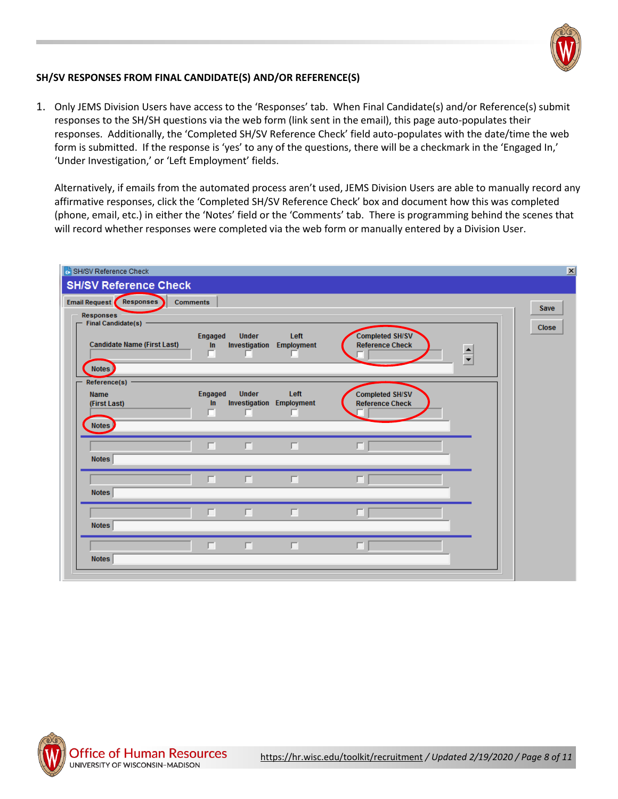

## **SH/SV RESPONSES FROM FINAL CANDIDATE(S) AND/OR REFERENCE(S)**

1. Only JEMS Division Users have access to the 'Responses' tab. When Final Candidate(s) and/or Reference(s) submit responses to the SH/SH questions via the web form (link sent in the email), this page auto-populates their responses. Additionally, the 'Completed SH/SV Reference Check' field auto-populates with the date/time the web form is submitted. If the response is 'yes' to any of the questions, there will be a checkmark in the 'Engaged In,' 'Under Investigation,' or 'Left Employment' fields.

Alternatively, if emails from the automated process aren't used, JEMS Division Users are able to manually record any affirmative responses, click the 'Completed SH/SV Reference Check' box and document how this was completed (phone, email, etc.) in either the 'Notes' field or the 'Comments' tab. There is programming behind the scenes that will record whether responses were completed via the web form or manually entered by a Division User.

| SH/SV Reference Check                                  |                           |                               |                                              |                                                  |                      | $\vert x \vert$ |
|--------------------------------------------------------|---------------------------|-------------------------------|----------------------------------------------|--------------------------------------------------|----------------------|-----------------|
| <b>SH/SV Reference Check</b>                           |                           |                               |                                              |                                                  |                      |                 |
| Email Request Responses                                | <b>Comments</b>           |                               |                                              |                                                  |                      | <b>Save</b>     |
| Responses<br><b>Final Candidate(s)</b>                 |                           |                               |                                              |                                                  |                      |                 |
| <b>Candidate Name (First Last)</b><br>Notes            | <b>Engaged</b><br>In<br>п | <b>Under</b><br>Investigation | Left<br>Employment                           | <b>Completed SH/SV</b><br><b>Reference Check</b> | $\frac{1}{\sqrt{2}}$ | <b>Close</b>    |
| Reference(s) -<br><b>Name</b><br>(First Last)<br>Notes | <b>Engaged</b><br>In<br>п | <b>Under</b><br>г             | Left<br><b>Investigation Employment</b><br>п | <b>Completed SH/SV</b><br><b>Reference Check</b> |                      |                 |
| <b>Notes</b>                                           | п                         | П                             | П                                            | п                                                |                      |                 |
| <b>Notes</b>                                           | П                         | $\Box$                        | П                                            | п                                                |                      |                 |
| <b>Notes</b>                                           | п                         | 囗                             | п                                            | п                                                |                      |                 |
| <b>Notes</b>                                           | П                         | 囗                             | 囗                                            | п                                                |                      |                 |
|                                                        |                           |                               |                                              |                                                  |                      |                 |

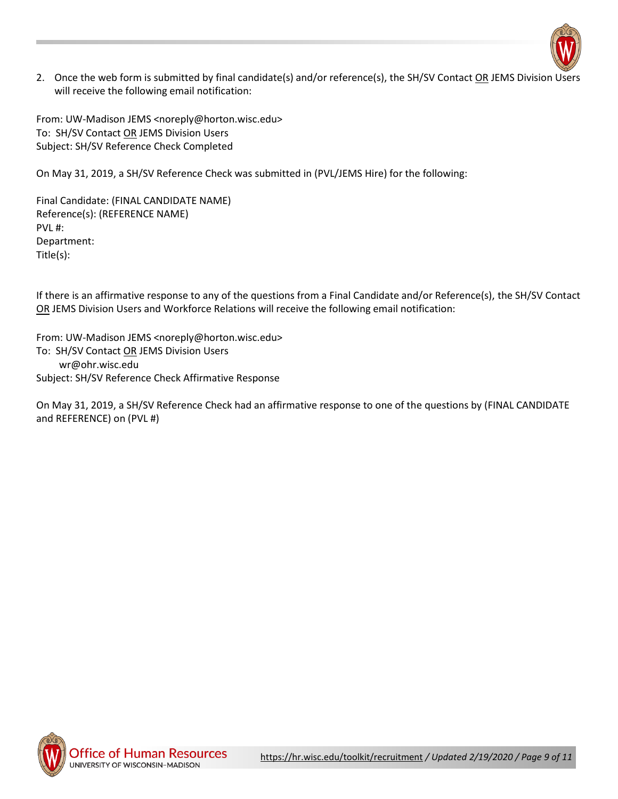

2. Once the web form is submitted by final candidate(s) and/or reference(s), the SH/SV Contact OR JEMS Division Users will receive the following email notification:

From: UW-Madison JEMS <noreply@horton.wisc.edu> To: SH/SV Contact OR JEMS Division Users Subject: SH/SV Reference Check Completed

On May 31, 2019, a SH/SV Reference Check was submitted in (PVL/JEMS Hire) for the following:

Final Candidate: (FINAL CANDIDATE NAME) Reference(s): (REFERENCE NAME) PVL #: Department: Title(s):

If there is an affirmative response to any of the questions from a Final Candidate and/or Reference(s), the SH/SV Contact OR JEMS Division Users and Workforce Relations will receive the following email notification:

From: UW-Madison JEMS <noreply@horton.wisc.edu> To: SH/SV Contact OR JEMS Division Users wr@ohr.wisc.edu Subject: SH/SV Reference Check Affirmative Response

On May 31, 2019, a SH/SV Reference Check had an affirmative response to one of the questions by (FINAL CANDIDATE and REFERENCE) on (PVL #)

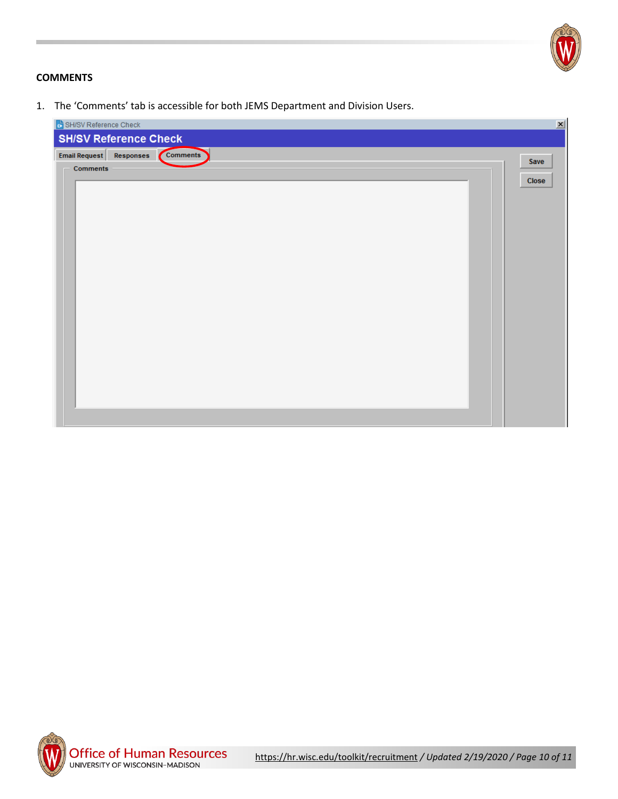

# **COMMENTS**

1. The 'Comments' tab is accessible for both JEMS Department and Division Users.